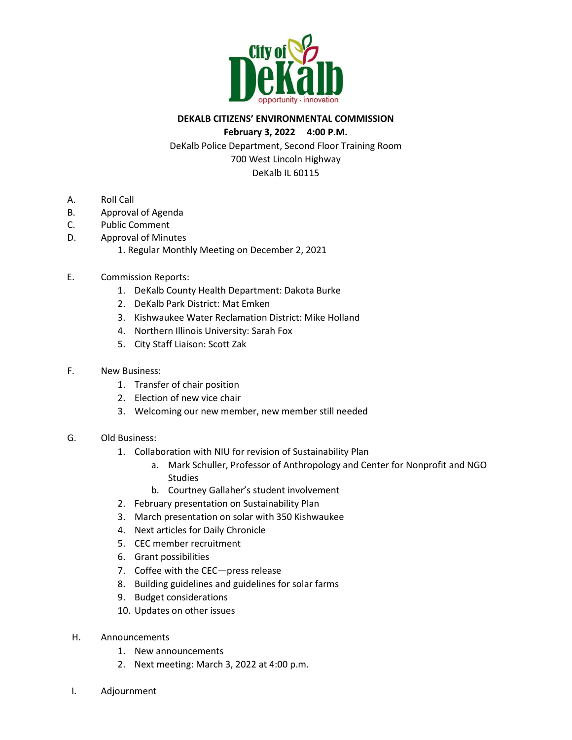

### **DEKALB CITIZENS' ENVIRONMENTAL COMMISSION**

#### **February 3, 2022 4:00 P.M.**

DeKalb Police Department, Second Floor Training Room 700 West Lincoln Highway DeKalb IL 60115

- A. Roll Call
- B. Approval of Agenda
- C. Public Comment
- D. Approval of Minutes
	- 1. Regular Monthly Meeting on December 2, 2021
- E. Commission Reports:
	- 1. DeKalb County Health Department: Dakota Burke
	- 2. DeKalb Park District: Mat Emken
	- 3. Kishwaukee Water Reclamation District: Mike Holland
	- 4. Northern Illinois University: Sarah Fox
	- 5. City Staff Liaison: Scott Zak
- F. New Business:
	- 1. Transfer of chair position
	- 2. Election of new vice chair
	- 3. Welcoming our new member, new member still needed
- G. Old Business:
	- 1. Collaboration with NIU for revision of Sustainability Plan
		- a. Mark Schuller, Professor of Anthropology and Center for Nonprofit and NGO Studies
		- b. Courtney Gallaher's student involvement
	- 2. February presentation on Sustainability Plan
	- 3. March presentation on solar with 350 Kishwaukee
	- 4. Next articles for Daily Chronicle
	- 5. CEC member recruitment
	- 6. Grant possibilities
	- 7. Coffee with the CEC—press release
	- 8. Building guidelines and guidelines for solar farms
	- 9. Budget considerations
	- 10. Updates on other issues
- H. Announcements
	- 1. New announcements
	- 2. Next meeting: March 3, 2022 at 4:00 p.m.
- I. Adjournment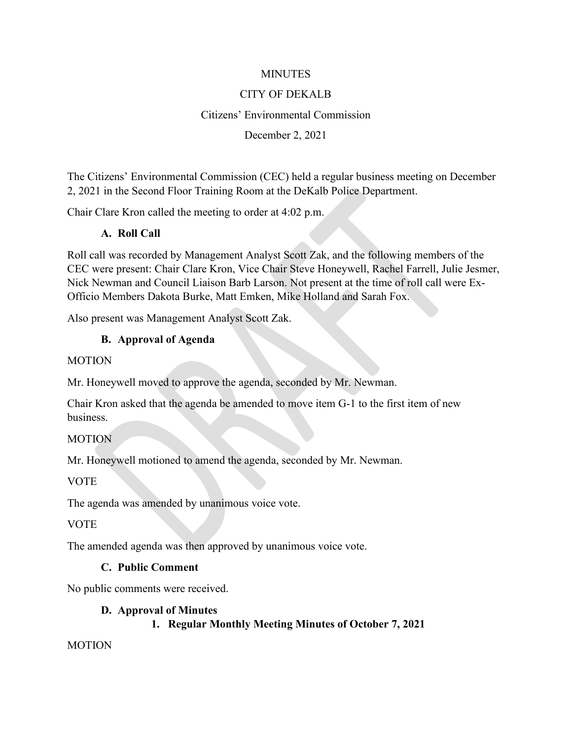### **MINUTES**

### CITY OF DEKALB

### Citizens' Environmental Commission

### December 2, 2021

The Citizens' Environmental Commission (CEC) held a regular business meeting on December 2, 2021 in the Second Floor Training Room at the DeKalb Police Department.

Chair Clare Kron called the meeting to order at 4:02 p.m.

### **A. Roll Call**

Roll call was recorded by Management Analyst Scott Zak, and the following members of the CEC were present: Chair Clare Kron, Vice Chair Steve Honeywell, Rachel Farrell, Julie Jesmer, Nick Newman and Council Liaison Barb Larson. Not present at the time of roll call were Ex-Officio Members Dakota Burke, Matt Emken, Mike Holland and Sarah Fox.

Also present was Management Analyst Scott Zak.

### **B. Approval of Agenda**

#### MOTION

Mr. Honeywell moved to approve the agenda, seconded by Mr. Newman.

Chair Kron asked that the agenda be amended to move item G-1 to the first item of new business.

### **MOTION**

Mr. Honeywell motioned to amend the agenda, seconded by Mr. Newman.

### VOTE

The agenda was amended by unanimous voice vote.

### VOTE

The amended agenda was then approved by unanimous voice vote.

### **C. Public Comment**

No public comments were received.

### **D. Approval of Minutes**

### **1. Regular Monthly Meeting Minutes of October 7, 2021**

MOTION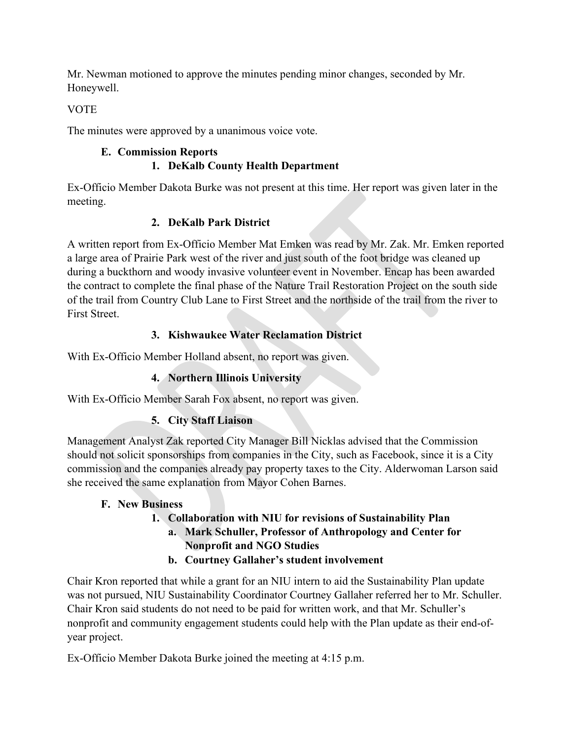Mr. Newman motioned to approve the minutes pending minor changes, seconded by Mr. Honeywell.

# **VOTE**

The minutes were approved by a unanimous voice vote.

# **E. Commission Reports**

# **1. DeKalb County Health Department**

Ex-Officio Member Dakota Burke was not present at this time. Her report was given later in the meeting.

# **2. DeKalb Park District**

A written report from Ex-Officio Member Mat Emken was read by Mr. Zak. Mr. Emken reported a large area of Prairie Park west of the river and just south of the foot bridge was cleaned up during a buckthorn and woody invasive volunteer event in November. Encap has been awarded the contract to complete the final phase of the Nature Trail Restoration Project on the south side of the trail from Country Club Lane to First Street and the northside of the trail from the river to First Street.

# **3. Kishwaukee Water Reclamation District**

With Ex-Officio Member Holland absent, no report was given.

# **4. Northern Illinois University**

With Ex-Officio Member Sarah Fox absent, no report was given.

# **5. City Staff Liaison**

Management Analyst Zak reported City Manager Bill Nicklas advised that the Commission should not solicit sponsorships from companies in the City, such as Facebook, since it is a City commission and the companies already pay property taxes to the City. Alderwoman Larson said she received the same explanation from Mayor Cohen Barnes.

# **F. New Business**

### **1. Collaboration with NIU for revisions of Sustainability Plan a. Mark Schuller, Professor of Anthropology and Center for Nonprofit and NGO Studies b. Courtney Gallaher's student involvement**

Chair Kron reported that while a grant for an NIU intern to aid the Sustainability Plan update was not pursued, NIU Sustainability Coordinator Courtney Gallaher referred her to Mr. Schuller. Chair Kron said students do not need to be paid for written work, and that Mr. Schuller's nonprofit and community engagement students could help with the Plan update as their end-ofyear project.

Ex-Officio Member Dakota Burke joined the meeting at 4:15 p.m.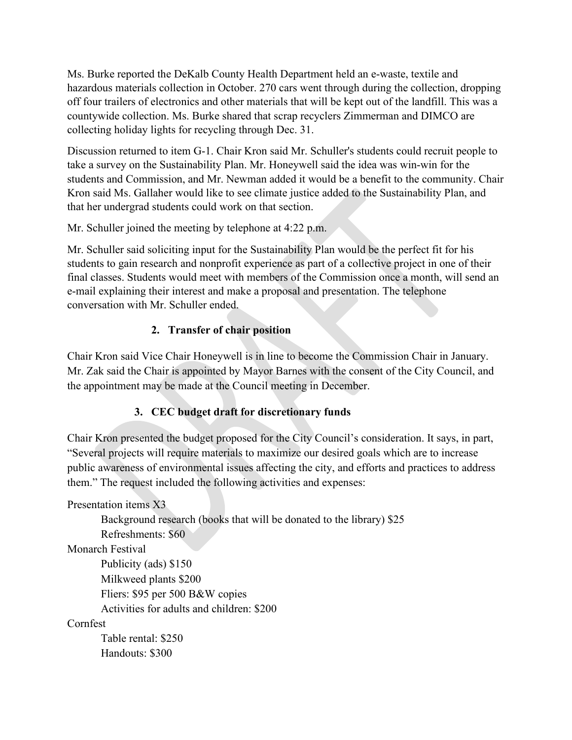Ms. Burke reported the DeKalb County Health Department held an e-waste, textile and hazardous materials collection in October. 270 cars went through during the collection, dropping off four trailers of electronics and other materials that will be kept out of the landfill. This was a countywide collection. Ms. Burke shared that scrap recyclers Zimmerman and DIMCO are collecting holiday lights for recycling through Dec. 31.

Discussion returned to item G-1. Chair Kron said Mr. Schuller's students could recruit people to take a survey on the Sustainability Plan. Mr. Honeywell said the idea was win-win for the students and Commission, and Mr. Newman added it would be a benefit to the community. Chair Kron said Ms. Gallaher would like to see climate justice added to the Sustainability Plan, and that her undergrad students could work on that section.

Mr. Schuller joined the meeting by telephone at 4:22 p.m.

Mr. Schuller said soliciting input for the Sustainability Plan would be the perfect fit for his students to gain research and nonprofit experience as part of a collective project in one of their final classes. Students would meet with members of the Commission once a month, will send an e-mail explaining their interest and make a proposal and presentation. The telephone conversation with Mr. Schuller ended.

# **2. Transfer of chair position**

Chair Kron said Vice Chair Honeywell is in line to become the Commission Chair in January. Mr. Zak said the Chair is appointed by Mayor Barnes with the consent of the City Council, and the appointment may be made at the Council meeting in December.

# **3. CEC budget draft for discretionary funds**

Chair Kron presented the budget proposed for the City Council's consideration. It says, in part, "Several projects will require materials to maximize our desired goals which are to increase public awareness of environmental issues affecting the city, and efforts and practices to address them." The request included the following activities and expenses:

Presentation items X3

Background research (books that will be donated to the library) \$25 Refreshments: \$60

Monarch Festival

Publicity (ads) \$150 Milkweed plants \$200 Fliers: \$95 per 500 B&W copies Activities for adults and children: \$200

# Cornfest

Table rental: \$250 Handouts: \$300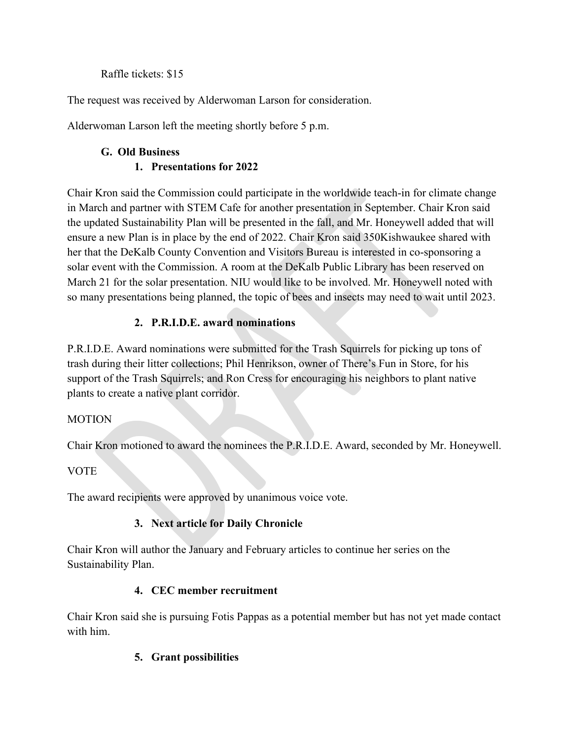### Raffle tickets: \$15

The request was received by Alderwoman Larson for consideration.

Alderwoman Larson left the meeting shortly before 5 p.m.

# **G. Old Business 1. Presentations for 2022**

Chair Kron said the Commission could participate in the worldwide teach-in for climate change in March and partner with STEM Cafe for another presentation in September. Chair Kron said the updated Sustainability Plan will be presented in the fall, and Mr. Honeywell added that will ensure a new Plan is in place by the end of 2022. Chair Kron said 350Kishwaukee shared with her that the DeKalb County Convention and Visitors Bureau is interested in co-sponsoring a solar event with the Commission. A room at the DeKalb Public Library has been reserved on March 21 for the solar presentation. NIU would like to be involved. Mr. Honeywell noted with so many presentations being planned, the topic of bees and insects may need to wait until 2023.

# **2. P.R.I.D.E. award nominations**

P.R.I.D.E. Award nominations were submitted for the Trash Squirrels for picking up tons of trash during their litter collections; Phil Henrikson, owner of There's Fun in Store, for his support of the Trash Squirrels; and Ron Cress for encouraging his neighbors to plant native plants to create a native plant corridor.

# MOTION

Chair Kron motioned to award the nominees the P.R.I.D.E. Award, seconded by Mr. Honeywell.

# **VOTE**

The award recipients were approved by unanimous voice vote.

# **3. Next article for Daily Chronicle**

Chair Kron will author the January and February articles to continue her series on the Sustainability Plan.

# **4. CEC member recruitment**

Chair Kron said she is pursuing Fotis Pappas as a potential member but has not yet made contact with him.

# **5. Grant possibilities**